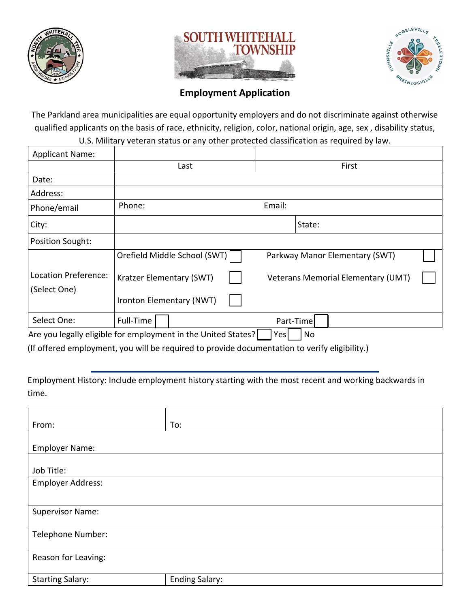





## **Employment Application**

The Parkland area municipalities are equal opportunity employers and do not discriminate against otherwise qualified applicants on the basis of race, ethnicity, religion, color, national origin, age, sex , disability status, U.S. Military veteran status or any other protected classification as required by law.

| <b>Applicant Name:</b>               |                                                               |                                           |
|--------------------------------------|---------------------------------------------------------------|-------------------------------------------|
|                                      | Last                                                          | First                                     |
| Date:                                |                                                               |                                           |
| Address:                             |                                                               |                                           |
| Phone/email                          | Phone:                                                        | Email:                                    |
| City:                                |                                                               | State:                                    |
| <b>Position Sought:</b>              |                                                               |                                           |
|                                      | Orefield Middle School (SWT)                                  | Parkway Manor Elementary (SWT)            |
| Location Preference:<br>(Select One) | Kratzer Elementary (SWT)                                      | <b>Veterans Memorial Elementary (UMT)</b> |
|                                      | Ironton Elementary (NWT)                                      |                                           |
| Select One:                          | Full-Time                                                     | Part-Time                                 |
|                                      | Are you legally eligible for employment in the United States? | No<br>Yesl                                |

(If offered employment, you will be required to provide documentation to verify eligibility.)

Employment History: Include employment history starting with the most recent and working backwards in time.

| From:                    | To:                   |
|--------------------------|-----------------------|
|                          |                       |
| <b>Employer Name:</b>    |                       |
|                          |                       |
| Job Title:               |                       |
| <b>Employer Address:</b> |                       |
|                          |                       |
|                          |                       |
| <b>Supervisor Name:</b>  |                       |
|                          |                       |
| Telephone Number:        |                       |
|                          |                       |
| Reason for Leaving:      |                       |
|                          |                       |
| <b>Starting Salary:</b>  | <b>Ending Salary:</b> |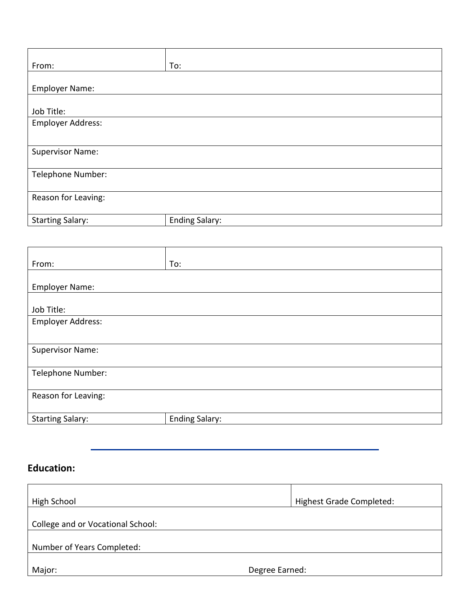| From:                   | To:                   |
|-------------------------|-----------------------|
|                         |                       |
| <b>Employer Name:</b>   |                       |
|                         |                       |
| Job Title:              |                       |
| Employer Address:       |                       |
|                         |                       |
| <b>Supervisor Name:</b> |                       |
|                         |                       |
| Telephone Number:       |                       |
|                         |                       |
| Reason for Leaving:     |                       |
|                         |                       |
| <b>Starting Salary:</b> | <b>Ending Salary:</b> |

| From:                    | To:                   |
|--------------------------|-----------------------|
| <b>Employer Name:</b>    |                       |
|                          |                       |
| Job Title:               |                       |
| <b>Employer Address:</b> |                       |
|                          |                       |
| <b>Supervisor Name:</b>  |                       |
| Telephone Number:        |                       |
| Reason for Leaving:      |                       |
| <b>Starting Salary:</b>  | <b>Ending Salary:</b> |

## **Education:**

| High School                       | <b>Highest Grade Completed:</b> |  |
|-----------------------------------|---------------------------------|--|
| College and or Vocational School: |                                 |  |
| Number of Years Completed:        |                                 |  |
| Major:                            | Degree Earned:                  |  |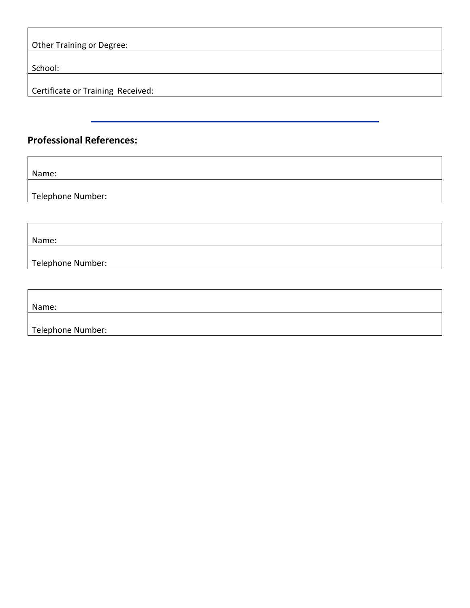| <b>Other Training or Degree:</b>  |  |
|-----------------------------------|--|
|                                   |  |
| School:                           |  |
|                                   |  |
| Certificate or Training Received: |  |

## **Professional References:**

Name:

Telephone Number:

Name:

Telephone Number:

Name:

Telephone Number: